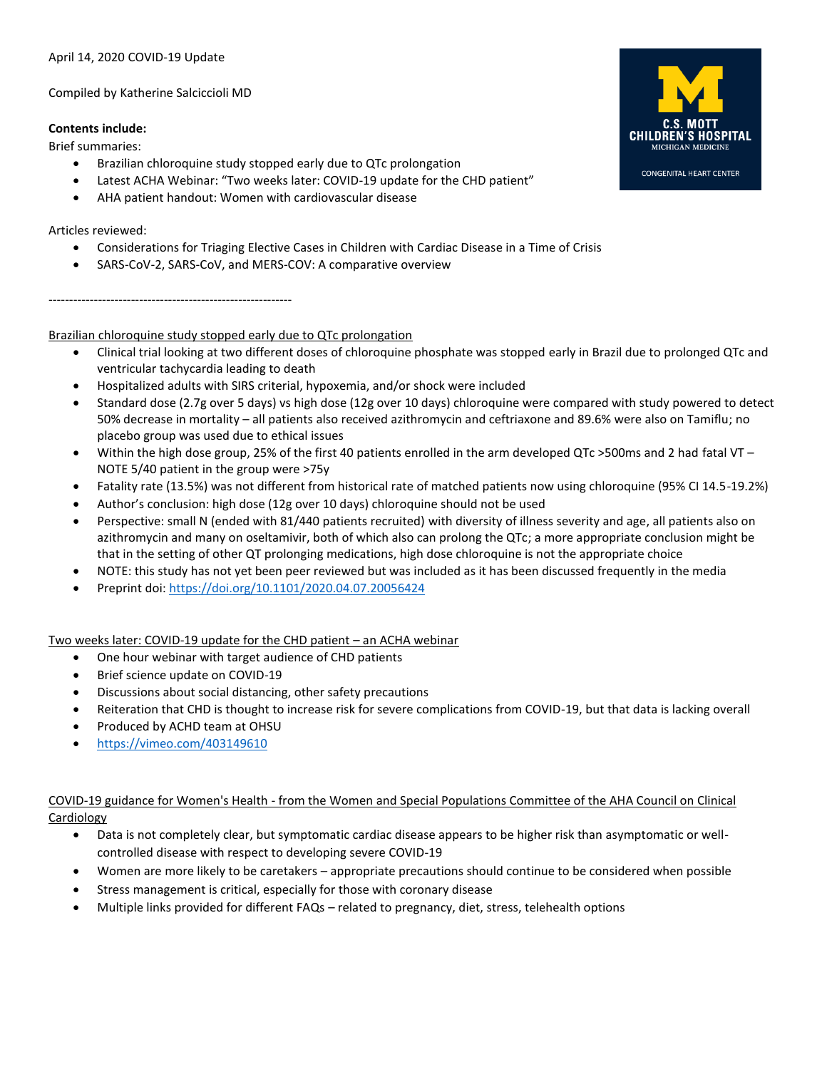## April 14, 2020 COVID-19 Update

Compiled by Katherine Salciccioli MD

-----------------------------------------------------------

## **Contents include:**

Brief summaries:

- Brazilian chloroquine study stopped early due to QTc prolongation
- Latest ACHA Webinar: "Two weeks later: COVID-19 update for the CHD patient"
- AHA patient handout: Women with cardiovascular disease

## Articles reviewed:

- Considerations for Triaging Elective Cases in Children with Cardiac Disease in a Time of Crisis
- SARS-CoV-2, SARS-CoV, and MERS-COV: A comparative overview

Brazilian chloroquine study stopped early due to QTc prolongation

- Clinical trial looking at two different doses of chloroquine phosphate was stopped early in Brazil due to prolonged QTc and ventricular tachycardia leading to death
- Hospitalized adults with SIRS criterial, hypoxemia, and/or shock were included
- Standard dose (2.7g over 5 days) vs high dose (12g over 10 days) chloroquine were compared with study powered to detect 50% decrease in mortality – all patients also received azithromycin and ceftriaxone and 89.6% were also on Tamiflu; no placebo group was used due to ethical issues
- Within the high dose group, 25% of the first 40 patients enrolled in the arm developed QTc >500ms and 2 had fatal VT NOTE 5/40 patient in the group were >75y
- Fatality rate (13.5%) was not different from historical rate of matched patients now using chloroquine (95% CI 14.5-19.2%)
- Author's conclusion: high dose (12g over 10 days) chloroquine should not be used
- Perspective: small N (ended with 81/440 patients recruited) with diversity of illness severity and age, all patients also on azithromycin and many on oseltamivir, both of which also can prolong the QTc; a more appropriate conclusion might be that in the setting of other QT prolonging medications, high dose chloroquine is not the appropriate choice
- NOTE: this study has not yet been peer reviewed but was included as it has been discussed frequently in the media
- Preprint doi[: https://doi.org/10.1101/2020.04.07.20056424](https://doi.org/10.1101/2020.04.07.20056424)

Two weeks later: COVID-19 update for the CHD patient – an ACHA webinar

- One hour webinar with target audience of CHD patients
- Brief science update on COVID-19
- Discussions about social distancing, other safety precautions
- Reiteration that CHD is thought to increase risk for severe complications from COVID-19, but that data is lacking overall
- Produced by ACHD team at OHSU
- <https://vimeo.com/403149610>

COVID-19 guidance for Women's Health - from the Women and Special Populations Committee of the AHA Council on Clinical **Cardiology** 

- Data is not completely clear, but symptomatic cardiac disease appears to be higher risk than asymptomatic or wellcontrolled disease with respect to developing severe COVID-19
- Women are more likely to be caretakers appropriate precautions should continue to be considered when possible
- Stress management is critical, especially for those with coronary disease
- Multiple links provided for different FAQs related to pregnancy, diet, stress, telehealth options



**CONGENITAL HEART CENTER**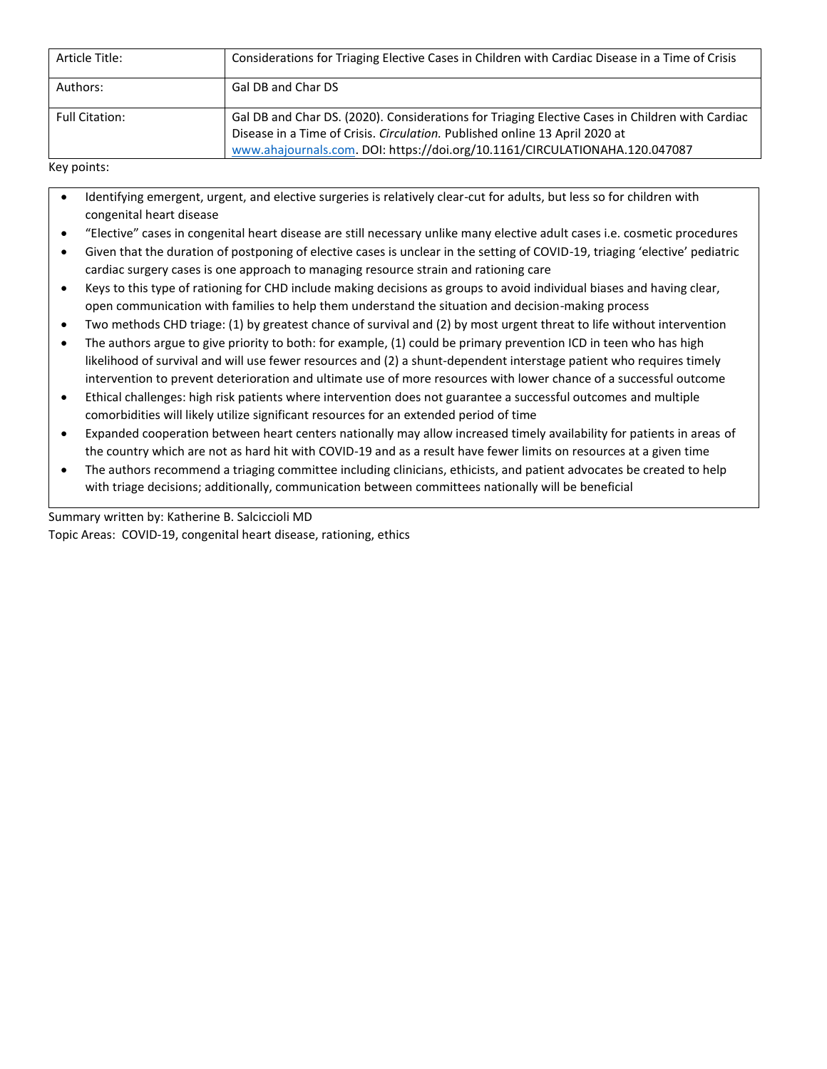| Article Title:        | Considerations for Triaging Elective Cases in Children with Cardiac Disease in a Time of Crisis                                                                                                                                                               |  |
|-----------------------|---------------------------------------------------------------------------------------------------------------------------------------------------------------------------------------------------------------------------------------------------------------|--|
| Authors:              | Gal DB and Char DS                                                                                                                                                                                                                                            |  |
| <b>Full Citation:</b> | Gal DB and Char DS. (2020). Considerations for Triaging Elective Cases in Children with Cardiac<br>Disease in a Time of Crisis. Circulation. Published online 13 April 2020 at<br>www.ahajournals.com. DOI: https://doi.org/10.1161/CIRCULATIONAHA.120.047087 |  |

Key points:

- Identifying emergent, urgent, and elective surgeries is relatively clear-cut for adults, but less so for children with congenital heart disease
- "Elective" cases in congenital heart disease are still necessary unlike many elective adult cases i.e. cosmetic procedures
- Given that the duration of postponing of elective cases is unclear in the setting of COVID-19, triaging 'elective' pediatric cardiac surgery cases is one approach to managing resource strain and rationing care
- Keys to this type of rationing for CHD include making decisions as groups to avoid individual biases and having clear, open communication with families to help them understand the situation and decision-making process
- Two methods CHD triage: (1) by greatest chance of survival and (2) by most urgent threat to life without intervention
- The authors argue to give priority to both: for example, (1) could be primary prevention ICD in teen who has high likelihood of survival and will use fewer resources and (2) a shunt-dependent interstage patient who requires timely intervention to prevent deterioration and ultimate use of more resources with lower chance of a successful outcome
- Ethical challenges: high risk patients where intervention does not guarantee a successful outcomes and multiple comorbidities will likely utilize significant resources for an extended period of time
- Expanded cooperation between heart centers nationally may allow increased timely availability for patients in areas of the country which are not as hard hit with COVID-19 and as a result have fewer limits on resources at a given time
- The authors recommend a triaging committee including clinicians, ethicists, and patient advocates be created to help with triage decisions; additionally, communication between committees nationally will be beneficial

Summary written by: Katherine B. Salciccioli MD Topic Areas: COVID-19, congenital heart disease, rationing, ethics